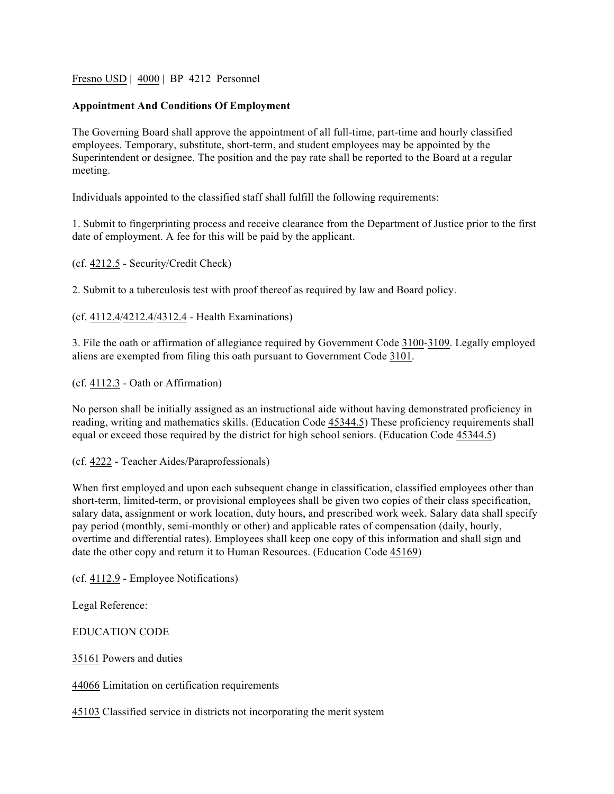Fresno USD | 4000 | BP 4212 Personnel

## **Appointment And Conditions Of Employment**

The Governing Board shall approve the appointment of all full-time, part-time and hourly classified employees. Temporary, substitute, short-term, and student employees may be appointed by the Superintendent or designee. The position and the pay rate shall be reported to the Board at a regular meeting.

Individuals appointed to the classified staff shall fulfill the following requirements:

1. Submit to fingerprinting process and receive clearance from the Department of Justice prior to the first date of employment. A fee for this will be paid by the applicant.

(cf. 4212.5 - Security/Credit Check)

2. Submit to a tuberculosis test with proof thereof as required by law and Board policy.

(cf. 4112.4/4212.4/4312.4 - Health Examinations)

3. File the oath or affirmation of allegiance required by Government Code 3100-3109. Legally employed aliens are exempted from filing this oath pursuant to Government Code 3101.

(cf. 4112.3 - Oath or Affirmation)

No person shall be initially assigned as an instructional aide without having demonstrated proficiency in reading, writing and mathematics skills. (Education Code 45344.5) These proficiency requirements shall equal or exceed those required by the district for high school seniors. (Education Code 45344.5)

(cf. 4222 - Teacher Aides/Paraprofessionals)

When first employed and upon each subsequent change in classification, classified employees other than short-term, limited-term, or provisional employees shall be given two copies of their class specification, salary data, assignment or work location, duty hours, and prescribed work week. Salary data shall specify pay period (monthly, semi-monthly or other) and applicable rates of compensation (daily, hourly, overtime and differential rates). Employees shall keep one copy of this information and shall sign and date the other copy and return it to Human Resources. (Education Code 45169)

(cf. 4112.9 - Employee Notifications)

Legal Reference:

EDUCATION CODE

35161 Powers and duties

44066 Limitation on certification requirements

45103 Classified service in districts not incorporating the merit system